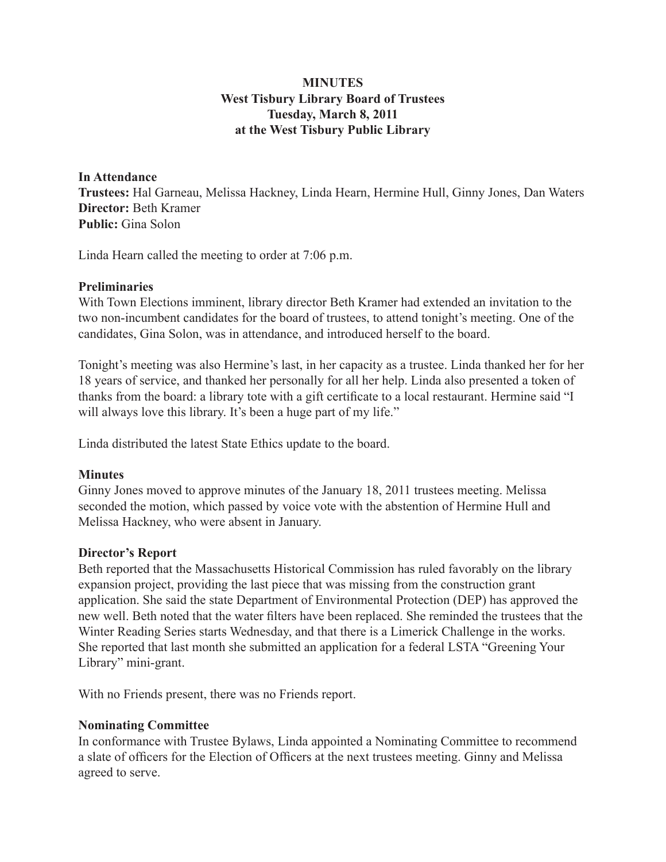## **MINUTES West Tisbury Library Board of Trustees Tuesday, March 8, 2011 at the West Tisbury Public Library**

# **In Attendance Trustees:** Hal Garneau, Melissa Hackney, Linda Hearn, Hermine Hull, Ginny Jones, Dan Waters **Director:** Beth Kramer **Public:** Gina Solon

Linda Hearn called the meeting to order at 7:06 p.m.

#### **Preliminaries**

With Town Elections imminent, library director Beth Kramer had extended an invitation to the two non-incumbent candidates for the board of trustees, to attend tonight's meeting. One of the candidates, Gina Solon, was in attendance, and introduced herself to the board.

Tonight's meeting was also Hermine's last, in her capacity as a trustee. Linda thanked her for her 18 years of service, and thanked her personally for all her help. Linda also presented a token of thanks from the board: a library tote with a gift certificate to a local restaurant. Hermine said "I will always love this library. It's been a huge part of my life."

Linda distributed the latest State Ethics update to the board.

#### **Minutes**

Ginny Jones moved to approve minutes of the January 18, 2011 trustees meeting. Melissa seconded the motion, which passed by voice vote with the abstention of Hermine Hull and Melissa Hackney, who were absent in January.

## **Director's Report**

Beth reported that the Massachusetts Historical Commission has ruled favorably on the library expansion project, providing the last piece that was missing from the construction grant application. She said the state Department of Environmental Protection (DEP) has approved the new well. Beth noted that the water filters have been replaced. She reminded the trustees that the Winter Reading Series starts Wednesday, and that there is a Limerick Challenge in the works. She reported that last month she submitted an application for a federal LSTA "Greening Your Library" mini-grant.

With no Friends present, there was no Friends report.

## **Nominating Committee**

In conformance with Trustee Bylaws, Linda appointed a Nominating Committee to recommend a slate of officers for the Election of Officers at the next trustees meeting. Ginny and Melissa agreed to serve.